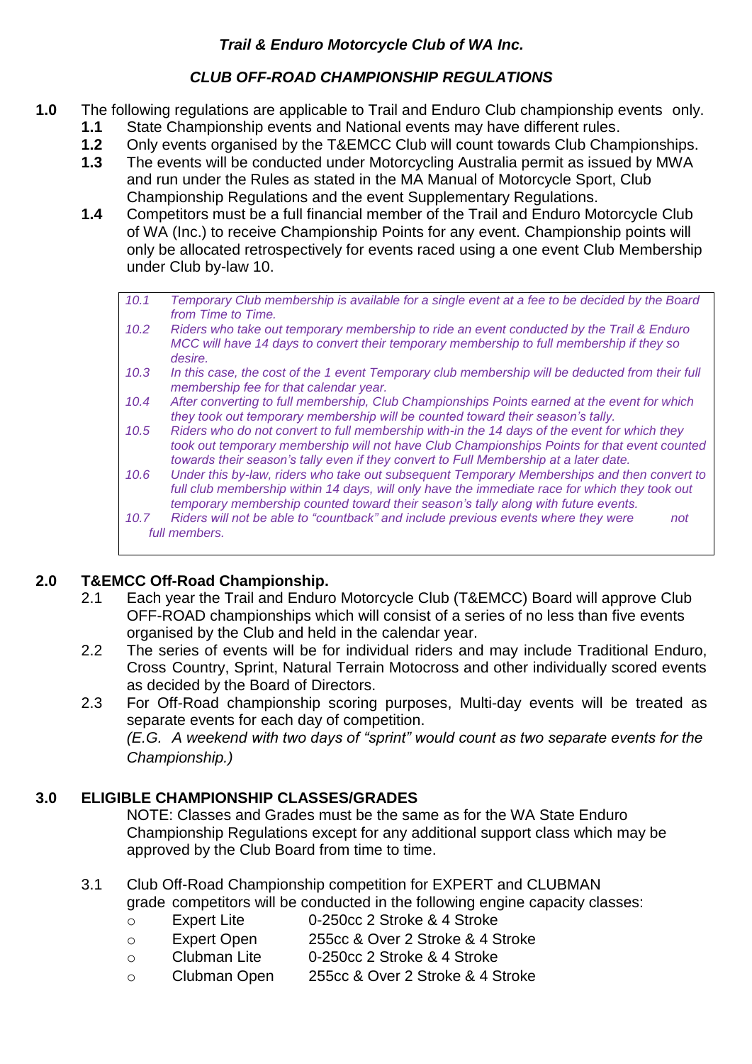# *CLUB OFF-ROAD CHAMPIONSHIP REGULATIONS*

- **1.0** The following regulations are applicable to Trail and Enduro Club championship events only.
	- **1.1** State Championship events and National events may have different rules.
	- **1.2** Only events organised by the T&EMCC Club will count towards Club Championships.
	- **1.3** The events will be conducted under Motorcycling Australia permit as issued by MWA and run under the Rules as stated in the MA Manual of Motorcycle Sport, Club Championship Regulations and the event Supplementary Regulations.
	- **1.4** Competitors must be a full financial member of the Trail and Enduro Motorcycle Club of WA (Inc.) to receive Championship Points for any event. Championship points will only be allocated retrospectively for events raced using a one event Club Membership under Club by-law 10.
		- *10.1 Temporary Club membership is available for a single event at a fee to be decided by the Board from Time to Time.*
		- *10.2 Riders who take out temporary membership to ride an event conducted by the Trail & Enduro MCC will have 14 days to convert their temporary membership to full membership if they so desire.*
		- *10.3 In this case, the cost of the 1 event Temporary club membership will be deducted from their full membership fee for that calendar year.*
		- *10.4 After converting to full membership, Club Championships Points earned at the event for which they took out temporary membership will be counted toward their season's tally.*
		- *10.5 Riders who do not convert to full membership with-in the 14 days of the event for which they took out temporary membership will not have Club Championships Points for that event counted towards their season's tally even if they convert to Full Membership at a later date.*
		- *10.6 Under this by-law, riders who take out subsequent Temporary Memberships and then convert to full club membership within 14 days, will only have the immediate race for which they took out temporary membership counted toward their season's tally along with future events.*
		- *10.7 Riders will not be able to "countback" and include previous events where they were not full members.*

# **2.0 T&EMCC Off-Road Championship.**

- 2.1 Each year the Trail and Enduro Motorcycle Club (T&EMCC) Board will approve Club OFF-ROAD championships which will consist of a series of no less than five events organised by the Club and held in the calendar year.
- 2.2 The series of events will be for individual riders and may include Traditional Enduro, Cross Country, Sprint, Natural Terrain Motocross and other individually scored events as decided by the Board of Directors.
- 2.3 For Off-Road championship scoring purposes, Multi-day events will be treated as separate events for each day of competition.

*(E.G. A weekend with two days of "sprint" would count as two separate events for the Championship.)*

# **3.0 ELIGIBLE CHAMPIONSHIP CLASSES/GRADES**

NOTE: Classes and Grades must be the same as for the WA State Enduro Championship Regulations except for any additional support class which may be approved by the Club Board from time to time.

3.1 Club Off-Road Championship competition for EXPERT and CLUBMAN

grade competitors will be conducted in the following engine capacity classes:

- o Expert Lite 0-250cc 2 Stroke & 4 Stroke
- o Expert Open 255cc & Over 2 Stroke & 4 Stroke
- o Clubman Lite 0-250cc 2 Stroke & 4 Stroke
- o Clubman Open 255cc & Over 2 Stroke & 4 Stroke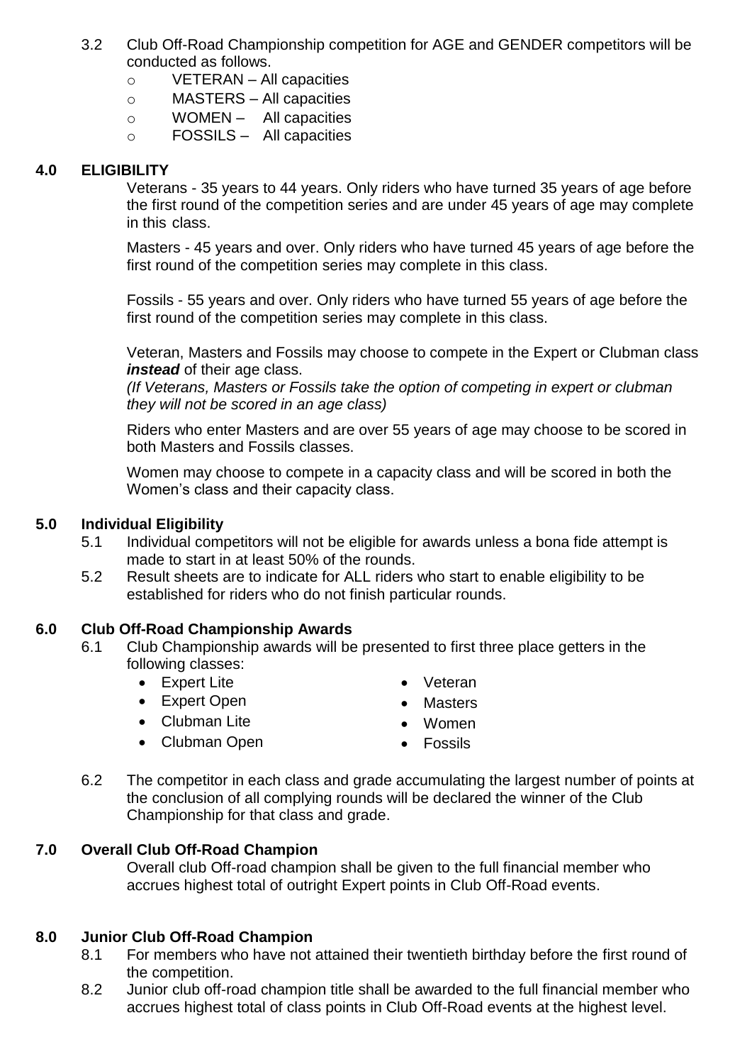- 3.2 Club Off-Road Championship competition for AGE and GENDER competitors will be conducted as follows.
	- o VETERAN All capacities
	- o MASTERS All capacities
	- o WOMEN All capacities
	- o FOSSILS All capacities

#### **4.0 ELIGIBILITY**

Veterans - 35 years to 44 years. Only riders who have turned 35 years of age before the first round of the competition series and are under 45 years of age may complete in this class.

Masters - 45 years and over. Only riders who have turned 45 years of age before the first round of the competition series may complete in this class.

Fossils - 55 years and over. Only riders who have turned 55 years of age before the first round of the competition series may complete in this class.

Veteran, Masters and Fossils may choose to compete in the Expert or Clubman class *instead* of their age class.

*(If Veterans, Masters or Fossils take the option of competing in expert or clubman they will not be scored in an age class)*

Riders who enter Masters and are over 55 years of age may choose to be scored in both Masters and Fossils classes.

Women may choose to compete in a capacity class and will be scored in both the Women's class and their capacity class.

#### **5.0 Individual Eligibility**

- 5.1 Individual competitors will not be eligible for awards unless a bona fide attempt is made to start in at least 50% of the rounds.
- 5.2 Result sheets are to indicate for ALL riders who start to enable eligibility to be established for riders who do not finish particular rounds.

#### **6.0 Club Off-Road Championship Awards**

- 6.1 Club Championship awards will be presented to first three place getters in the following classes:
	- Expert Lite
	- Expert Open

• Veteran

**Masters** 

- 
- Clubman Lite

• Clubman Open

- Women
- Fossils
- 6.2 The competitor in each class and grade accumulating the largest number of points at the conclusion of all complying rounds will be declared the winner of the Club Championship for that class and grade.

#### **7.0 Overall Club Off-Road Champion**

Overall club Off-road champion shall be given to the full financial member who accrues highest total of outright Expert points in Club Off-Road events.

#### **8.0 Junior Club Off-Road Champion**

- 8.1 For members who have not attained their twentieth birthday before the first round of the competition.
- 8.2 Junior club off-road champion title shall be awarded to the full financial member who accrues highest total of class points in Club Off-Road events at the highest level.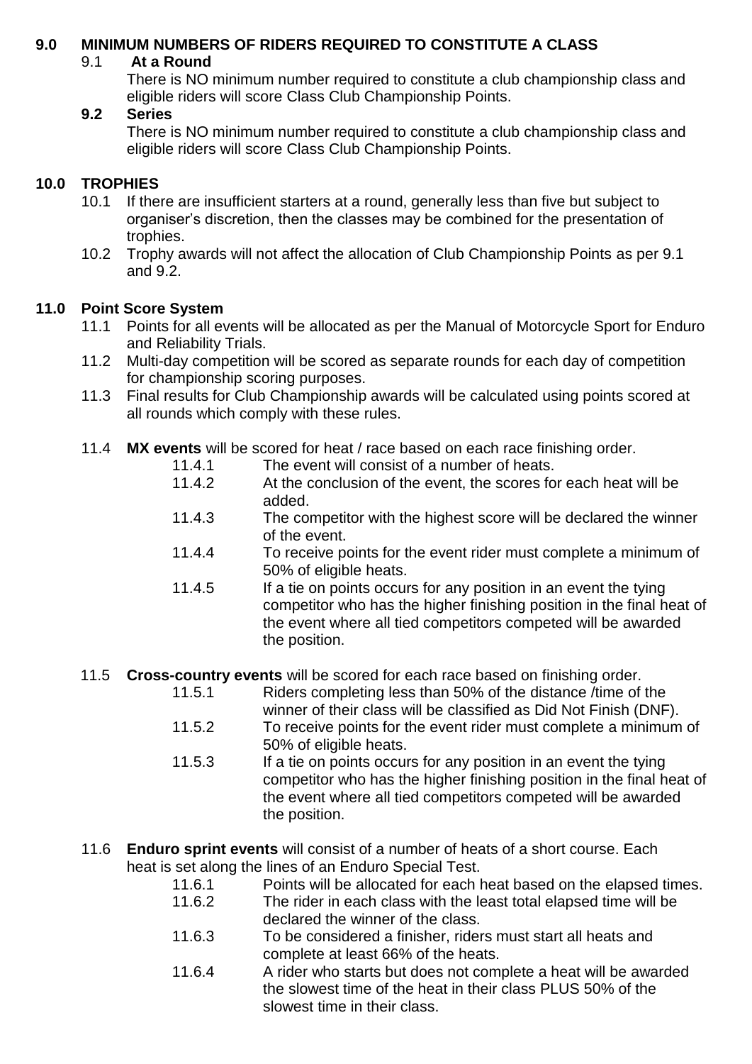### **9.0 MINIMUM NUMBERS OF RIDERS REQUIRED TO CONSTITUTE A CLASS**

### 9.1 **At a Round**

There is NO minimum number required to constitute a club championship class and eligible riders will score Class Club Championship Points.

### **9.2 Series**

There is NO minimum number required to constitute a club championship class and eligible riders will score Class Club Championship Points.

## **10.0 TROPHIES**

- 10.1 If there are insufficient starters at a round, generally less than five but subject to organiser's discretion, then the classes may be combined for the presentation of trophies.
- 10.2 Trophy awards will not affect the allocation of Club Championship Points as per 9.1 and 9.2.

### **11.0 Point Score System**

- 11.1 Points for all events will be allocated as per the Manual of Motorcycle Sport for Enduro and Reliability Trials.
- 11.2 Multi-day competition will be scored as separate rounds for each day of competition for championship scoring purposes.
- 11.3 Final results for Club Championship awards will be calculated using points scored at all rounds which comply with these rules.
- 11.4 **MX events** will be scored for heat / race based on each race finishing order.
	- 11.4.1 The event will consist of a number of heats.
	- 11.4.2 At the conclusion of the event, the scores for each heat will be added.
	- 11.4.3 The competitor with the highest score will be declared the winner of the event.
	- 11.4.4 To receive points for the event rider must complete a minimum of 50% of eligible heats.
	- 11.4.5 If a tie on points occurs for any position in an event the tying competitor who has the higher finishing position in the final heat of the event where all tied competitors competed will be awarded the position.
- 11.5 **Cross-country events** will be scored for each race based on finishing order.
	- 11.5.1 Riders completing less than 50% of the distance /time of the winner of their class will be classified as Did Not Finish (DNF).
	- 11.5.2 To receive points for the event rider must complete a minimum of 50% of eligible heats.
	- 11.5.3 If a tie on points occurs for any position in an event the tying competitor who has the higher finishing position in the final heat of the event where all tied competitors competed will be awarded the position.
- 11.6 **Enduro sprint events** will consist of a number of heats of a short course. Each heat is set along the lines of an Enduro Special Test.

| 11.6.1 | Points will be allocated for each heat based on the elapsed times. |
|--------|--------------------------------------------------------------------|
| 11.6.2 | The rider in each class with the least total elapsed time will be  |
|        | declared the winner of the class.                                  |
| 11.6.3 | To be considered a finisher, riders must start all heats and       |
|        | complete at least 66% of the heats.                                |
| 11.6.4 | A rider who starts but does not complete a heat will be awarded    |
|        | the slowest time of the heat in their class PLUS 50% of the        |
|        | slowest time in their class.                                       |